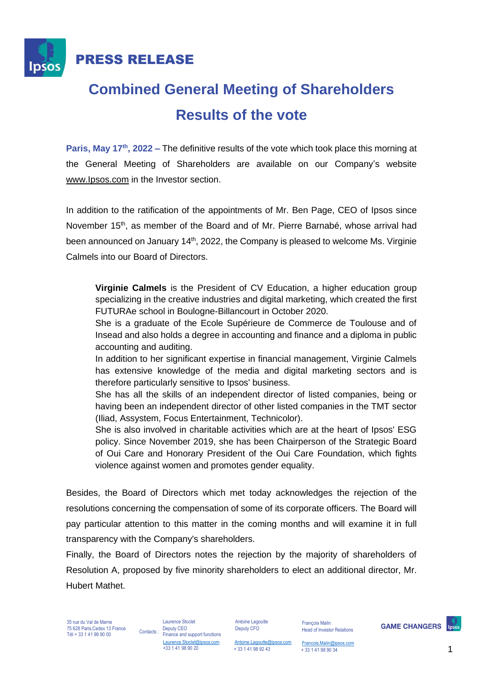

## **Combined General Meeting of Shareholders Results of the vote**

**Paris, May 17th, 2022 –** The definitive results of the vote which took place this morning at the General Meeting of Shareholders are available on our Company's website [www.Ipsos.com](http://www.ipsos.com/) in the Investor section.

In addition to the ratification of the appointments of Mr. Ben Page, CEO of Ipsos since November  $15<sup>th</sup>$ , as member of the Board and of Mr. Pierre Barnabé, whose arrival had been announced on January 14<sup>th</sup>, 2022, the Company is pleased to welcome Ms. Virginie Calmels into our Board of Directors.

**Virginie Calmels** is the President of CV Education, a higher education group specializing in the creative industries and digital marketing, which created the first FUTURAe school in Boulogne-Billancourt in October 2020.

She is a graduate of the Ecole Supérieure de Commerce de Toulouse and of Insead and also holds a degree in accounting and finance and a diploma in public accounting and auditing.

In addition to her significant expertise in financial management, Virginie Calmels has extensive knowledge of the media and digital marketing sectors and is therefore particularly sensitive to Ipsos' business.

She has all the skills of an independent director of listed companies, being or having been an independent director of other listed companies in the TMT sector (Iliad, Assystem, Focus Entertainment, Technicolor).

She is also involved in charitable activities which are at the heart of Ipsos' ESG policy. Since November 2019, she has been Chairperson of the Strategic Board of Oui Care and Honorary President of the Oui Care Foundation, which fights violence against women and promotes gender equality.

Besides, the Board of Directors which met today acknowledges the rejection of the resolutions concerning the compensation of some of its corporate officers. The Board will pay particular attention to this matter in the coming months and will examine it in full transparency with the Company's shareholders.

Finally, the Board of Directors notes the rejection by the majority of shareholders of Resolution A, proposed by five minority shareholders to elect an additional director, Mr. Hubert Mathet.

35 rue du Val de Marne 75 628 Paris,Cedex 13 France  $75628$  Paris, Cedex 13 France Contacts :<br>Tél + 33 1 41 98 90 00

Laurence Stoclet Deputy CEO Finance and support functions Laurence.Stoclet@ipsos.com +33 1 41 98 90 20

Antoine Lagoutte Deputy CFO

François Malin Head of Investor Relations **GAME CHANGERS** 

[Antoine.Lagoutte@ipsos.com](mailto:Antoine.Lagoutte@ipsos.com) + 33 1 41 98 92 43 + 33 1 41 98 90 34

[Francois.Malin@ipsos.com](mailto:Francois.Malin@ipsos.com)